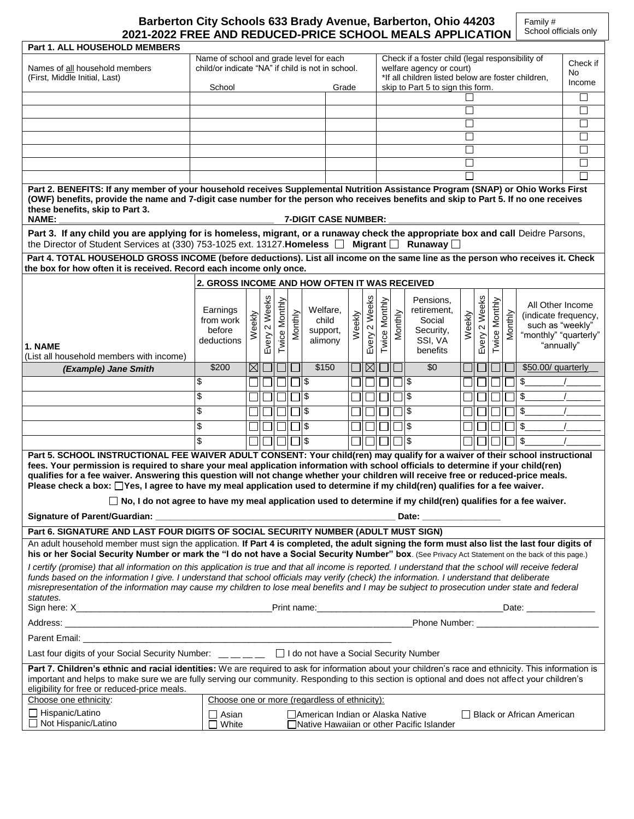| Barberton City Schools 633 Brady Avenue, Barberton, Ohio 44203 |
|----------------------------------------------------------------|
| 2021-2022 FREE AND REDUCED-PRICE SCHOOL MEALS APPLICATION      |

| Part 1. ALL HOUSEHOLD MEMBERS                                                                                                                                                                                                                                                                                                                                                                                                                                                                                                                                                                                                                                                                             |                                               |                |               |               |         |                     |          |        |                                                                                |               |         |                                   |              |        |         |         |                                          |        |
|-----------------------------------------------------------------------------------------------------------------------------------------------------------------------------------------------------------------------------------------------------------------------------------------------------------------------------------------------------------------------------------------------------------------------------------------------------------------------------------------------------------------------------------------------------------------------------------------------------------------------------------------------------------------------------------------------------------|-----------------------------------------------|----------------|---------------|---------------|---------|---------------------|----------|--------|--------------------------------------------------------------------------------|---------------|---------|-----------------------------------|--------------|--------|---------|---------|------------------------------------------|--------|
| Name of school and grade level for each<br>Check if a foster child (legal responsibility of<br>child/or indicate "NA" if child is not in school.                                                                                                                                                                                                                                                                                                                                                                                                                                                                                                                                                          |                                               |                |               |               |         |                     | Check if |        |                                                                                |               |         |                                   |              |        |         |         |                                          |        |
| Names of all household members<br>(First, Middle Initial, Last)                                                                                                                                                                                                                                                                                                                                                                                                                                                                                                                                                                                                                                           |                                               |                |               |               |         |                     |          |        | welfare agency or court)<br>*If all children listed below are foster children, |               |         |                                   | No           |        |         |         |                                          |        |
|                                                                                                                                                                                                                                                                                                                                                                                                                                                                                                                                                                                                                                                                                                           | School                                        |                |               |               |         |                     | Grade    |        |                                                                                |               |         | skip to Part 5 to sign this form. |              |        |         |         |                                          | Income |
|                                                                                                                                                                                                                                                                                                                                                                                                                                                                                                                                                                                                                                                                                                           |                                               |                |               |               |         |                     |          |        |                                                                                |               |         |                                   |              |        |         |         |                                          | □      |
|                                                                                                                                                                                                                                                                                                                                                                                                                                                                                                                                                                                                                                                                                                           |                                               |                |               |               |         |                     |          |        |                                                                                |               |         |                                   | $\Box$       |        |         |         |                                          | $\Box$ |
|                                                                                                                                                                                                                                                                                                                                                                                                                                                                                                                                                                                                                                                                                                           |                                               |                |               |               |         |                     |          |        |                                                                                |               |         |                                   | $\Box$       |        |         |         |                                          | $\Box$ |
|                                                                                                                                                                                                                                                                                                                                                                                                                                                                                                                                                                                                                                                                                                           |                                               |                |               |               |         |                     |          |        |                                                                                |               |         |                                   | $\mathsf{L}$ |        |         |         |                                          | $\Box$ |
|                                                                                                                                                                                                                                                                                                                                                                                                                                                                                                                                                                                                                                                                                                           |                                               |                |               |               |         |                     |          |        |                                                                                |               |         |                                   | $\mathsf{L}$ |        |         |         |                                          | □      |
|                                                                                                                                                                                                                                                                                                                                                                                                                                                                                                                                                                                                                                                                                                           |                                               |                |               |               |         |                     |          |        |                                                                                |               |         |                                   |              |        |         |         |                                          | $\Box$ |
|                                                                                                                                                                                                                                                                                                                                                                                                                                                                                                                                                                                                                                                                                                           |                                               |                |               |               |         |                     |          |        |                                                                                |               |         |                                   |              |        |         |         |                                          | $\Box$ |
| Part 2. BENEFITS: If any member of your household receives Supplemental Nutrition Assistance Program (SNAP) or Ohio Works First<br>(OWF) benefits, provide the name and 7-digit case number for the person who receives benefits and skip to Part 5. If no one receives<br>these benefits, skip to Part 3.<br><b>NAME:</b><br><b>7-DIGIT CASE NUMBER:</b>                                                                                                                                                                                                                                                                                                                                                 |                                               |                |               |               |         |                     |          |        |                                                                                |               |         |                                   |              |        |         |         |                                          |        |
| Part 3. If any child you are applying for is homeless, migrant, or a runaway check the appropriate box and call Deidre Parsons,                                                                                                                                                                                                                                                                                                                                                                                                                                                                                                                                                                           |                                               |                |               |               |         |                     |          |        |                                                                                |               |         |                                   |              |        |         |         |                                          |        |
| the Director of Student Services at (330) 753-1025 ext. 13127. Homeless [ Migrant [                                                                                                                                                                                                                                                                                                                                                                                                                                                                                                                                                                                                                       |                                               |                |               |               |         |                     |          |        |                                                                                |               |         | Runaway $\square$                 |              |        |         |         |                                          |        |
| Part 4. TOTAL HOUSEHOLD GROSS INCOME (before deductions). List all income on the same line as the person who receives it. Check<br>the box for how often it is received. Record each income only once.                                                                                                                                                                                                                                                                                                                                                                                                                                                                                                    |                                               |                |               |               |         |                     |          |        |                                                                                |               |         |                                   |              |        |         |         |                                          |        |
|                                                                                                                                                                                                                                                                                                                                                                                                                                                                                                                                                                                                                                                                                                           | 2. GROSS INCOME AND HOW OFTEN IT WAS RECEIVED |                |               |               |         |                     |          |        |                                                                                |               |         |                                   |              |        |         |         |                                          |        |
|                                                                                                                                                                                                                                                                                                                                                                                                                                                                                                                                                                                                                                                                                                           |                                               |                |               |               |         |                     |          |        |                                                                                |               |         | Pensions.                         |              |        |         |         |                                          |        |
|                                                                                                                                                                                                                                                                                                                                                                                                                                                                                                                                                                                                                                                                                                           | Earnings                                      |                | Every 2 Weeks | Twice Monthly |         |                     | Welfare, |        | Every 2 Weeks                                                                  | Twice Monthly |         | retirement,                       |              | Weeks  | Monthly |         | All Other Income<br>(indicate frequency, |        |
|                                                                                                                                                                                                                                                                                                                                                                                                                                                                                                                                                                                                                                                                                                           | from work<br>before                           | Weekly         |               |               | Monthly |                     | child    | Weekly |                                                                                |               | Monthly | Social                            | Weekly       | $\sim$ |         | Monthly | such as "weekly"                         |        |
|                                                                                                                                                                                                                                                                                                                                                                                                                                                                                                                                                                                                                                                                                                           | deductions                                    |                |               |               |         | support,<br>alimony |          |        |                                                                                |               |         | Security,<br>SSI, VA              |              | Every  | Twice I |         | "monthly" "quarterly"                    |        |
| 1. NAME                                                                                                                                                                                                                                                                                                                                                                                                                                                                                                                                                                                                                                                                                                   |                                               |                |               |               |         |                     |          |        |                                                                                |               |         | benefits                          |              |        |         |         | "annually"                               |        |
| (List all household members with income)                                                                                                                                                                                                                                                                                                                                                                                                                                                                                                                                                                                                                                                                  | \$200                                         | $\boxtimes$ ll |               |               |         |                     | \$150    |        | $\boxtimes$                                                                    |               |         | \$0                               |              |        |         |         | \$50.00/ quarterly                       |        |
| (Example) Jane Smith                                                                                                                                                                                                                                                                                                                                                                                                                                                                                                                                                                                                                                                                                      | \$                                            |                |               |               |         | ∥\$                 |          |        |                                                                                |               |         | \$ اך                             |              |        |         |         | \$                                       |        |
|                                                                                                                                                                                                                                                                                                                                                                                                                                                                                                                                                                                                                                                                                                           |                                               |                |               |               |         |                     |          |        |                                                                                |               |         |                                   |              |        |         |         |                                          |        |
|                                                                                                                                                                                                                                                                                                                                                                                                                                                                                                                                                                                                                                                                                                           | \$                                            |                |               |               |         | $\sqrt{3}$          |          |        |                                                                                |               |         | $\mathfrak{S}$                    |              |        |         |         | $\frac{1}{2}$                            |        |
|                                                                                                                                                                                                                                                                                                                                                                                                                                                                                                                                                                                                                                                                                                           | \$                                            |                |               |               |         | \$                  |          |        |                                                                                |               |         | $\mathsf{\$}$                     |              |        |         |         | \$                                       |        |
|                                                                                                                                                                                                                                                                                                                                                                                                                                                                                                                                                                                                                                                                                                           | \$                                            |                |               |               |         | $\mathfrak{S}$      |          |        |                                                                                |               |         | ٦ş                                |              |        |         |         | $\mathfrak{S}$                           |        |
|                                                                                                                                                                                                                                                                                                                                                                                                                                                                                                                                                                                                                                                                                                           | \$                                            |                |               |               |         | Ι\$                 |          |        |                                                                                |               |         | $\mathfrak{S}$                    |              |        |         |         | $\frac{1}{2}$                            |        |
| Part 5. SCHOOL INSTRUCTIONAL FEE WAIVER ADULT CONSENT: Your child(ren) may qualify for a waiver of their school instructional<br>fees. Your permission is required to share your meal application information with school officials to determine if your child(ren)<br>qualifies for a fee waiver. Answering this question will not change whether your children will receive free or reduced-price meals.<br>Please check a box: $\Box$ Yes, I agree to have my meal application used to determine if my child(ren) qualifies for a fee waiver.<br>$\Box$ No, I do not agree to have my meal application used to determine if my child(ren) qualifies for a fee waiver.<br>Signature of Parent/Guardian: |                                               |                |               |               |         |                     |          |        |                                                                                |               |         |                                   |              |        |         |         |                                          |        |
| Part 6. SIGNATURE AND LAST FOUR DIGITS OF SOCIAL SECURITY NUMBER (ADULT MUST SIGN)                                                                                                                                                                                                                                                                                                                                                                                                                                                                                                                                                                                                                        |                                               |                |               |               |         |                     |          |        |                                                                                |               |         |                                   |              |        |         |         |                                          |        |
| An adult household member must sign the application. If Part 4 is completed, the adult signing the form must also list the last four digits of                                                                                                                                                                                                                                                                                                                                                                                                                                                                                                                                                            |                                               |                |               |               |         |                     |          |        |                                                                                |               |         |                                   |              |        |         |         |                                          |        |
| his or her Social Security Number or mark the "I do not have a Social Security Number" box. (See Privacy Act Statement on the back of this page.)<br>I certify (promise) that all information on this application is true and that all income is reported. I understand that the school will receive federal<br>funds based on the information I give. I understand that school officials may verify (check) the information. I understand that deliberate<br>misrepresentation of the information may cause my children to lose meal benefits and I may be subject to prosecution under state and federal<br>statutes.                                                                                   |                                               |                |               |               |         |                     |          |        |                                                                                |               |         |                                   |              |        |         |         |                                          |        |
|                                                                                                                                                                                                                                                                                                                                                                                                                                                                                                                                                                                                                                                                                                           |                                               |                |               |               |         |                     |          |        |                                                                                |               |         |                                   |              |        |         |         |                                          |        |
| Phone Number: National Phone Number:<br>Address: North Address: North Address: North Address: North Address: North Address: North Address: North Address: North Address: North Address: North Address: North Address: North Address: North Address: North Address: Nor                                                                                                                                                                                                                                                                                                                                                                                                                                    |                                               |                |               |               |         |                     |          |        |                                                                                |               |         |                                   |              |        |         |         |                                          |        |
| Parent Email: __                                                                                                                                                                                                                                                                                                                                                                                                                                                                                                                                                                                                                                                                                          |                                               |                |               |               |         |                     |          |        |                                                                                |               |         |                                   |              |        |         |         |                                          |        |
| Last four digits of your Social Security Number: __ _ _ _ _ _ D I do not have a Social Security Number                                                                                                                                                                                                                                                                                                                                                                                                                                                                                                                                                                                                    |                                               |                |               |               |         |                     |          |        |                                                                                |               |         |                                   |              |        |         |         |                                          |        |
| Part 7. Children's ethnic and racial identities: We are required to ask for information about your children's race and ethnicity. This information is<br>important and helps to make sure we are fully serving our community. Responding to this section is optional and does not affect your children's<br>eligibility for free or reduced-price meals.                                                                                                                                                                                                                                                                                                                                                  |                                               |                |               |               |         |                     |          |        |                                                                                |               |         |                                   |              |        |         |         |                                          |        |
| Choose one ethnicity:<br>Choose one or more (regardless of ethnicity):                                                                                                                                                                                                                                                                                                                                                                                                                                                                                                                                                                                                                                    |                                               |                |               |               |         |                     |          |        |                                                                                |               |         |                                   |              |        |         |         |                                          |        |
| $\Box$ Hispanic/Latino<br>$\square$ Asian<br>□ American Indian or Alaska Native<br>□ Black or African American<br>□ Not Hispanic/Latino<br>White<br>□ Native Hawaiian or other Pacific Islander                                                                                                                                                                                                                                                                                                                                                                                                                                                                                                           |                                               |                |               |               |         |                     |          |        |                                                                                |               |         |                                   |              |        |         |         |                                          |        |